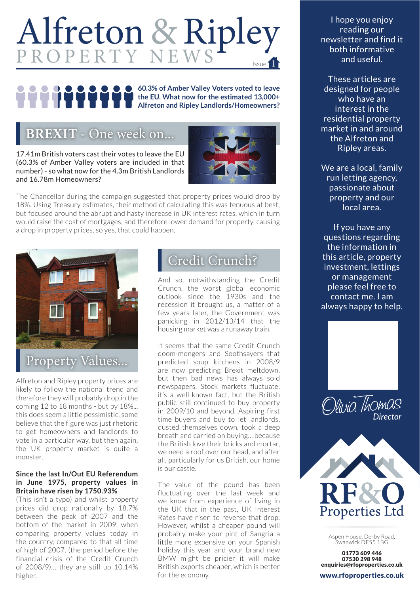# Alfreton & Ripley Issue 1

**60.3% of Amber Valley Voters voted to leave the EU. What now for the estimated 13,000+ Alfreton and Ripley Landlords/Homeowners?**

### **BREXIT -** One week on...

17.41m British voters cast their votes to leave the EU (60.3% of Amber Valley voters are included in that number) - so what now for the 4.3m British Landlords and 16.78m Homeowners?



The Chancellor during the campaign suggested that property prices would drop by 18%. Using Treasury estimates, their method of calculating this was tenuous at best, but focused around the abrupt and hasty increase in UK interest rates, which in turn would raise the cost of mortgages, and therefore lower demand for property, causing a drop in property prices, so yes, that could happen.



Alfreton and Ripley property prices are likely to follow the national trend and therefore they will probably drop in the coming 12 to 18 months - but by 18%... this does seem a little pessimistic, some believe that the figure was just rhetoric to get homeowners and landlords to vote in a particular way, but then again, the UK property market is quite a monster.

#### **Since the last In/Out EU Referendum in June 1975, property values in Britain have risen by 1750.93%**

(This isn't a typo) and whilst property prices did drop nationally by 18.7% between the peak of 2007 and the bottom of the market in 2009, when comparing property values today in the country, compared to that all time of high of 2007. (the period before the financial crisis of the Credit Crunch of 2008/9)… they are still up 10.14% higher.

## Credit Crunch?

And so, notwithstanding the Credit Crunch, the worst global economic outlook since the 1930s and the recession it brought us, a matter of a few years later, the Government was panicking in 2012/13/14 that the housing market was a runaway train.

It seems that the same Credit Crunch doom-mongers and Soothsayers that predicted soup kitchens in 2008/9 are now predicting Brexit meltdown, but then bad news has always sold newspapers. Stock markets fluctuate, it's a well-known fact, but the British public still continued to buy property in 2009/10 and beyond. Aspiring first time buyers and buy to let landlords, dusted themselves down, took a deep breath and carried on buying… because the British love their bricks and mortar, we need a roof over our head, and after all, particularly for us British, our home is our castle.

The value of the pound has been fluctuating over the last week and we know from experience of living in the UK that in the past, UK Interest Rates have risen to reverse that drop. However, whilst a cheaper pound will probably make your pint of Sangria a little more expensive on your Spanish holiday this year and your brand new BMW might be pricier it will make British exports cheaper, which is better for the economy.

I hope you enjoy reading our newsletter and find it both informative and useful.

These articles are designed for people who have an interest in the residential property market in and around the Alfreton and Ripley areas.

We are a local, family run letting agency, passionate about property and our local area.

If you have any questions regarding the information in this article, property investment, lettings or management please feel free to contact me. I am always happy to help.





Aspen House, Derby Road, Swanwick DE55 1BG

01773 609 446 07530 298 948 enquiries@rfoproperties.co.uk

www.rfoproperties.co.uk